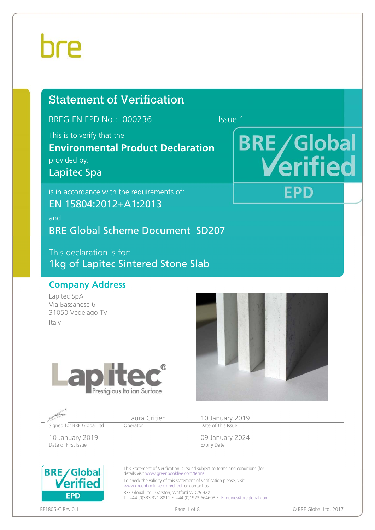## bre

### Statement of Verification

BREG EN EPD No.: 000236 Issue 1

This is to verify that the

**Environmental Product Declaration**  provided by:

Lapitec Spa

is in accordance with the requirements of:

EN 15804:2012+A1:2013

and BRE Global Scheme Document SD207

This declaration is for: 1kg of Lapitec Sintered Stone Slab

#### Company Address

Lapitec SpA Via Bassanese 6 31050 Vedelago TV Italy





|                           |          | 10 January 2019    |  |
|---------------------------|----------|--------------------|--|
| Signed for BRE Global Ltd | Operator | Date of this Issue |  |
| 10 January 2019           |          | 09 January 2024    |  |
| Date of First Issue       |          | <b>Expiry Date</b> |  |



This Statement of Verification is issued subject to terms and conditions (for details visit www.greenbooklive.com/terms. To check the validity of this statement of verification please, visit www.greenbooklive.com/check or contact us. BRE Global Ltd., Garston, Watford WD25 9XX T: +44 (0)333 321 8811 F: +44 (0)1923 664603 E: Enquiries@breglobal.com



BF1805-C Rev 0.1 **Page 1 of 8** Page 1 of 8 **Page 1 of 8 © BRE Global Ltd**, 2017

## **BRE/Global** erified **EPD**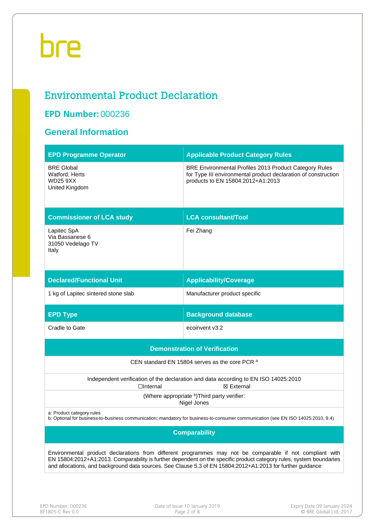# bre

### Environmental Product Declaration

#### **EPD Number:** 000236

#### **General Information**

| <b>EPD Programme Operator</b>                                                                                                                                                                                                   | <b>Applicable Product Category Rules</b>                                                                                                                      |  |  |  |  |
|---------------------------------------------------------------------------------------------------------------------------------------------------------------------------------------------------------------------------------|---------------------------------------------------------------------------------------------------------------------------------------------------------------|--|--|--|--|
| <b>BRE Global</b><br>Watford, Herts<br>WD25 9XX<br>United Kingdom                                                                                                                                                               | BRE Environmental Profiles 2013 Product Category Rules<br>for Type III environmental product declaration of construction<br>products to EN 15804:2012+A1:2013 |  |  |  |  |
| <b>Commissioner of LCA study</b>                                                                                                                                                                                                | <b>LCA consultant/Tool</b>                                                                                                                                    |  |  |  |  |
| Lapitec SpA<br>Via Bassanese 6<br>31050 Vedelago TV<br>Italy                                                                                                                                                                    | Fei Zhang                                                                                                                                                     |  |  |  |  |
| <b>Declared/Functional Unit</b>                                                                                                                                                                                                 | <b>Applicability/Coverage</b>                                                                                                                                 |  |  |  |  |
| 1 kg of Lapitec sintered stone slab                                                                                                                                                                                             | Manufacturer product specific                                                                                                                                 |  |  |  |  |
| <b>EPD Type</b>                                                                                                                                                                                                                 | <b>Background database</b>                                                                                                                                    |  |  |  |  |
| Cradle to Gate                                                                                                                                                                                                                  | ecoinvent v3.2                                                                                                                                                |  |  |  |  |
|                                                                                                                                                                                                                                 | <b>Demonstration of Verification</b>                                                                                                                          |  |  |  |  |
|                                                                                                                                                                                                                                 | CEN standard EN 15804 serves as the core PCR a                                                                                                                |  |  |  |  |
| $\Box$ Internal                                                                                                                                                                                                                 | Independent verification of the declaration and data according to EN ISO 14025:2010<br>⊠ External                                                             |  |  |  |  |
|                                                                                                                                                                                                                                 | (Where appropriate b) Third party verifier:<br>Nigel Jones                                                                                                    |  |  |  |  |
| a: Product category rules                                                                                                                                                                                                       | b: Optional for business-to-business communication; mandatory for business-to-consumer communication (see EN ISO 14025:2010, 9.4)                             |  |  |  |  |
|                                                                                                                                                                                                                                 | <b>Comparability</b>                                                                                                                                          |  |  |  |  |
| Environmental product declarations from different programmes may not be comparable if not compliant with<br>EN 15804:2012+A1:2013. Comparability is further dependent on the specific product category rules, system boundaries |                                                                                                                                                               |  |  |  |  |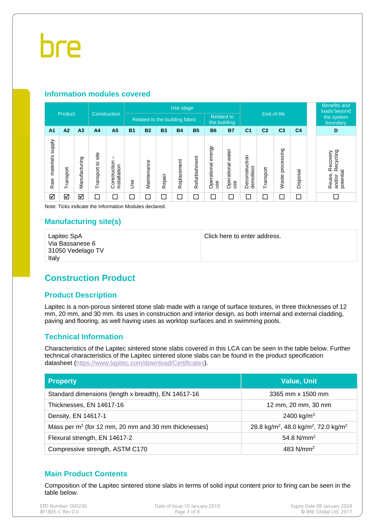#### **Information modules covered**

|                                  |           |                |                        |                                  |                                                                     | Use stage   |           |                          |               |                              |                          |                              |                |                     |                | <b>Benefits and</b><br>loads beyond                    |
|----------------------------------|-----------|----------------|------------------------|----------------------------------|---------------------------------------------------------------------|-------------|-----------|--------------------------|---------------|------------------------------|--------------------------|------------------------------|----------------|---------------------|----------------|--------------------------------------------------------|
| Product                          |           |                | Construction           |                                  | <b>Related to</b><br>Related to the building fabric<br>the building |             |           | End-of-life              |               |                              |                          | the system<br>boundary       |                |                     |                |                                                        |
| A <sub>1</sub>                   | A2        | A <sub>3</sub> | A <sub>4</sub>         | A <sub>5</sub>                   | <b>B1</b>                                                           | <b>B2</b>   | <b>B3</b> | <b>B4</b>                | <b>B5</b>     | <b>B6</b>                    | <b>B7</b>                | C <sub>1</sub>               | C <sub>2</sub> | C <sub>3</sub>      | C <sub>4</sub> | D                                                      |
| <b>Addns</b><br>materials<br>Raw | Transport | Manufacturing  | site<br>5<br>Transport | onstruction<br>Installation<br>Ö | 8<br>⊃                                                              | Maintenance | Repair    | Replacement              | Refurbishment | energy<br>Operational<br>use | Operational water<br>use | Deconstruction<br>demolition | Transport      | processing<br>Waste | Disposal       | Recycling<br>Recovery<br>potential<br>Reuse,<br>and/or |
| ☑                                | ☑         | ☑              | $\Box$                 | □                                | コ                                                                   | $\Box$      | $\Box$    | $\overline{\phantom{a}}$ | $\Box$        | $\Box$                       | Е                        | ⊏                            | С              | ⊏                   | $\Box$         | П                                                      |

Note: Ticks indicate the Information Modules declared.

#### **Manufacturing site(s)**

| Lapitec SpA       |
|-------------------|
| Via Bassanese 6   |
| 31050 Vedelago TV |
| Italv             |

Click here to enter address.

### **Construction Product**

#### **Product Description**

Lapitec is a non-porous sintered stone slab made with a range of surface textures, in three thicknesses of 12 mm, 20 mm, and 30 mm. Its uses in construction and interior design, as both internal and external cladding, paving and flooring, as well having uses as worktop surfaces and in swimming pools.

#### **Technical Information**

Characteristics of the Lapitec sintered stone slabs covered in this LCA can be seen in the table below. Further technical characteristics of the Lapitec sintered stone slabs can be found in the product specification datasheet (https://www.lapitec.com/download/Certificates).

| <b>Property</b>                                        | <b>Value, Unit</b>                                                       |
|--------------------------------------------------------|--------------------------------------------------------------------------|
| Standard dimensions (length x breadth), EN 14617-16    | 3365 mm x 1500 mm                                                        |
| Thicknesses, EN 14617-16                               | 12 mm, 20 mm, 30 mm                                                      |
| Density, EN 14617-1                                    | 2400 kg/m <sup>3</sup>                                                   |
| Mass per $m2$ (for 12 mm, 20 mm and 30 mm thicknesses) | 28.8 kg/m <sup>2</sup> , 48.0 kg/m <sup>2</sup> , 72.0 kg/m <sup>2</sup> |
| Flexural strength, EN 14617-2                          | 54.8 $N/mm^2$                                                            |
| Compressive strength, ASTM C170                        | 483 $N/mm2$                                                              |

#### **Main Product Contents**

Composition of the Lapitec sintered stone slabs in terms of solid input content prior to firing can be seen in the table below.

| EPD Number: 000236 | Date of Issue: 10 January 2019 | Expiry Date 09 January 2024 |
|--------------------|--------------------------------|-----------------------------|
| BF1805-C Rev 0.0   | Page 3 of 8                    | © BRE Global Ltd. 2017      |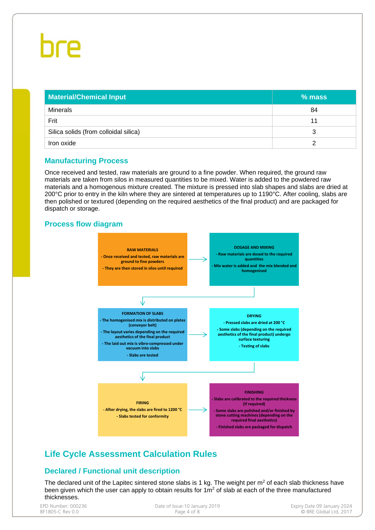| <b>Material/Chemical Input</b>        | % mass |
|---------------------------------------|--------|
| <b>Minerals</b>                       | 84     |
| Frit                                  | 11     |
| Silica solids (from colloidal silica) |        |
| Iron oxide                            |        |

#### **Manufacturing Process**

Once received and tested, raw materials are ground to a fine powder. When required, the ground raw materials are taken from silos in measured quantities to be mixed. Water is added to the powdered raw materials and a homogenous mixture created. The mixture is pressed into slab shapes and slabs are dried at 200°C prior to entry in the kiln where they are sintered at temperatures up to 1190°C. After cooling, slabs are then polished or textured (depending on the required aesthetics of the final product) and are packaged for dispatch or storage.

#### **Process flow diagram**



### **Life Cycle Assessment Calculation Rules**

#### **Declared / Functional unit description**

The declared unit of the Lapitec sintered stone slabs is 1 kg. The weight per  $m<sup>2</sup>$  of each slab thickness have been given which the user can apply to obtain results for  $1m<sup>2</sup>$  of slab at each of the three manufactured thicknesses.

| EPD Number: 000236<br>Date of Issue: 10 January 2019<br>BF1805-C Rev 0.0<br>Page 4 of 8 | Expiry Date 09 January 2024<br>© BRE Global Ltd. 2017 |
|-----------------------------------------------------------------------------------------|-------------------------------------------------------|
|                                                                                         |                                                       |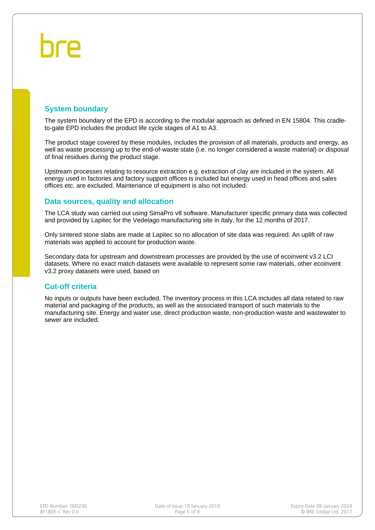#### **System boundary**

The system boundary of the EPD is according to the modular approach as defined in EN 15804. This cradleto-gate EPD includes the product life cycle stages of A1 to A3.

The product stage covered by these modules, includes the provision of all materials, products and energy, as well as waste processing up to the end-of-waste state (i.e. no longer considered a waste material) or disposal of final residues during the product stage.

Upstream processes relating to resource extraction e.g. extraction of clay are included in the system. All energy used in factories and factory support offices is included but energy used in head offices and sales offices etc. are excluded. Maintenance of equipment is also not included.

#### **Data sources, quality and allocation**

The LCA study was carried out using SimaPro v8 software. Manufacturer specific primary data was collected and provided by Lapitec for the Vedelago manufacturing site in Italy, for the 12 months of 2017.

Only sintered stone slabs are made at Lapitec so no allocation of site data was required. An uplift of raw materials was applied to account for production waste.

Secondary data for upstream and downstream processes are provided by the use of ecoinvent v3.2 LCI datasets. Where no exact match datasets were available to represent some raw materials, other ecoinvent v3.2 proxy datasets were used, based on

#### **Cut-off criteria**

No inputs or outputs have been excluded. The inventory process in this LCA includes all data related to raw material and packaging of the products, as well as the associated transport of such materials to the manufacturing site. Energy and water use, direct production waste, non-production waste and wastewater to sewer are included.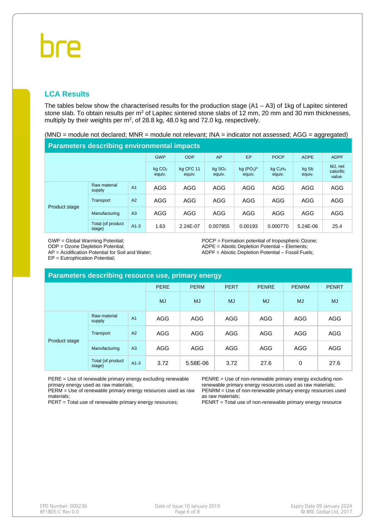## bre

#### **LCA Results**

The tables below show the characterised results for the production stage  $(A1 - A3)$  of 1kg of Lapitec sintered stone slab. To obtain results per m<sup>2</sup> of Lapitec sintered stone slabs of 12 mm, 20 mm and 30 mm thicknesses, multiply by their weights per  $m^2$ , of 28.8 kg, 48.0 kg and 72.0 kg, respectively.

(MND = module not declared; MNR = module not relevant; INA = indicator not assessed; AGG = aggregated)

#### **Parameters describing environmental impacts**

|               |                             |                | <b>GWP</b>                   | <b>ODP</b>          | AP                             | EP                                           | <b>POCP</b>             | <b>ADPE</b>     | <b>ADPF</b>                    |
|---------------|-----------------------------|----------------|------------------------------|---------------------|--------------------------------|----------------------------------------------|-------------------------|-----------------|--------------------------------|
|               |                             |                | kg CO <sub>2</sub><br>equiv. | ka CFC 11<br>equiv. | $kq$ SO <sub>2</sub><br>equiv. | kq (PO <sub>4</sub> ) <sup>3</sup><br>equiv. | $kq$ $C_2H_4$<br>equiv. | kg Sb<br>equiv. | MJ, net<br>calorific<br>value. |
| Product stage | Raw material<br>supply      | A <sub>1</sub> | <b>AGG</b>                   | AGG                 | AGG                            | <b>AGG</b>                                   | AGG                     | AGG             | AGG                            |
|               | Transport                   | A2             | <b>AGG</b>                   | AGG                 | AGG                            | AGG                                          | AGG                     | <b>AGG</b>      | AGG                            |
|               | Manufacturing               | A3             | AGG                          | AGG                 | AGG                            | AGG                                          | AGG                     | AGG             | AGG                            |
|               | Total (of product<br>stage) | $A1-3$         | 1.63                         | 2.24E-07            | 0.007955                       | 0.00193                                      | 0.000770                | 5.24E-06        | 25.4                           |

GWP = Global Warming Potential;

ODP = Ozone Depletion Potential;

AP = Acidification Potential for Soil and Water;

EP = Eutrophication Potential;

POCP = Formation potential of tropospheric Ozone; ADPE = Abiotic Depletion Potential – Elements; ADPF = Abiotic Depletion Potential – Fossil Fuels;

| Parameters describing resource use, primary energy |                             |                |             |             |             |              |              |              |  |  |
|----------------------------------------------------|-----------------------------|----------------|-------------|-------------|-------------|--------------|--------------|--------------|--|--|
|                                                    |                             |                | <b>PERE</b> | <b>PERM</b> | <b>PERT</b> | <b>PENRE</b> | <b>PENRM</b> | <b>PENRT</b> |  |  |
|                                                    |                             |                | <b>MJ</b>   | <b>MJ</b>   | <b>MJ</b>   | <b>MJ</b>    | <b>MJ</b>    | <b>MJ</b>    |  |  |
| Product stage                                      | Raw material<br>supply      | A <sub>1</sub> | AGG         | <b>AGG</b>  | AGG         | <b>AGG</b>   | AGG          | <b>AGG</b>   |  |  |
|                                                    | Transport                   | A2             | <b>AGG</b>  | <b>AGG</b>  | <b>AGG</b>  | <b>AGG</b>   | AGG          | <b>AGG</b>   |  |  |
|                                                    | Manufacturing               | A3             | <b>AGG</b>  | <b>AGG</b>  | <b>AGG</b>  | <b>AGG</b>   | AGG          | <b>AGG</b>   |  |  |
|                                                    | Total (of product<br>stage) | $A1-3$         | 3.72        | 5.58E-06    | 3.72        | 27.6         | 0            | 27.6         |  |  |

PERE = Use of renewable primary energy excluding renewable primary energy used as raw materials;

PERM = Use of renewable primary energy resources used as raw materials;

PERT = Total use of renewable primary energy resources;

PENRE = Use of non-renewable primary energy excluding nonrenewable primary energy resources used as raw materials; PENRM = Use of non-renewable primary energy resources used as raw materials;

PENRT = Total use of non-renewable primary energy resource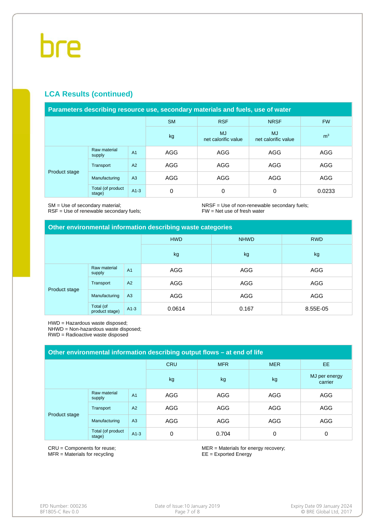#### **LCA Results (continued)**

| Parameters describing resource use, secondary materials and fuels, use of water |  |
|---------------------------------------------------------------------------------|--|
|---------------------------------------------------------------------------------|--|

|               |                             |                | <b>SM</b>  | <b>RSF</b>                       | <b>NRSF</b>                      | <b>FW</b>      |  |
|---------------|-----------------------------|----------------|------------|----------------------------------|----------------------------------|----------------|--|
|               |                             |                | kg         | <b>MJ</b><br>net calorific value | <b>MJ</b><br>net calorific value | m <sup>3</sup> |  |
| Product stage | Raw material<br>supply      | A <sub>1</sub> | AGG        | AGG                              | AGG                              | AGG            |  |
|               | Transport                   | A2             | <b>AGG</b> | AGG                              | AGG                              | <b>AGG</b>     |  |
|               | Manufacturing               | A <sub>3</sub> | <b>AGG</b> | AGG                              | AGG                              | AGG            |  |
|               | Total (of product<br>stage) | $A1-3$         | 0          | 0                                | 0                                | 0.0233         |  |

SM = Use of secondary material;

RSF = Use of renewable secondary fuels;

NRSF = Use of non-renewable secondary fuels; FW = Net use of fresh water

#### **Other environmental information describing waste categories**

|               |                             |                | <b>HWD</b> | <b>NHWD</b> | <b>RWD</b> |
|---------------|-----------------------------|----------------|------------|-------------|------------|
|               |                             |                | kg         | kg          | kg         |
| Product stage | Raw material<br>supply      | A <sub>1</sub> | AGG        | AGG         | AGG        |
|               | Transport                   | A2             | AGG        | AGG         | AGG        |
|               | Manufacturing               | A3             | AGG        | AGG         | AGG        |
|               | Total (of<br>product stage) | $A1-3$         | 0.0614     | 0.167       | 8.55E-05   |

HWD = Hazardous waste disposed;

NHWD = Non-hazardous waste disposed;

RWD = Radioactive waste disposed

| Other environmental information describing output flows – at end of life |                             |                |            |            |            |                          |  |  |  |
|--------------------------------------------------------------------------|-----------------------------|----------------|------------|------------|------------|--------------------------|--|--|--|
|                                                                          |                             |                | <b>CRU</b> | <b>MFR</b> | <b>MER</b> | EE.                      |  |  |  |
|                                                                          |                             |                | kg         | kg         | kg         | MJ per energy<br>carrier |  |  |  |
| Product stage                                                            | Raw material<br>supply      | A <sub>1</sub> | AGG        | AGG        | AGG        | AGG                      |  |  |  |
|                                                                          | Transport                   | A2             | AGG        | AGG        | AGG        | AGG                      |  |  |  |
|                                                                          | Manufacturing               | A <sub>3</sub> | AGG        | AGG        | AGG        | AGG                      |  |  |  |
|                                                                          | Total (of product<br>stage) | $A1-3$         | 0          | 0.704      | 0          | 0                        |  |  |  |

CRU = Components for reuse; MFR = Materials for recycling

MER = Materials for energy recovery; EE = Exported Energy